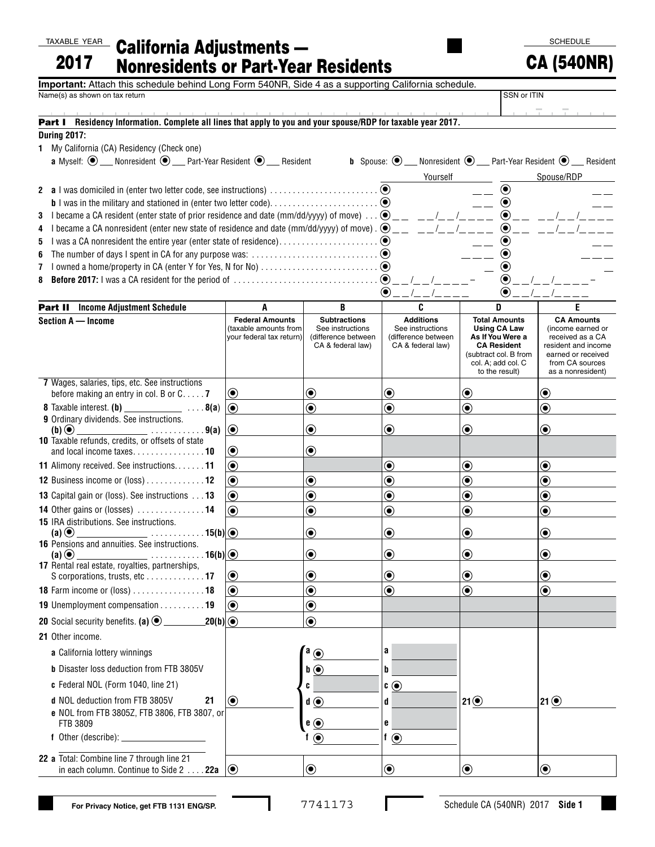TAXABLE YEAR

| 2017 | <u><b>XABLE YEAR</b></u> California Adjustments —<br><b>Nonresidents or Part-Year Residents</b> |
|------|-------------------------------------------------------------------------------------------------|

**SCHEDULE** 

| 2017<br><b>Nonresidents or Part-Year Residents</b>                                                                                     |                                                   | <b>CA (540NR)</b>                                   |                                          |                                             |                                                                                              |
|----------------------------------------------------------------------------------------------------------------------------------------|---------------------------------------------------|-----------------------------------------------------|------------------------------------------|---------------------------------------------|----------------------------------------------------------------------------------------------|
| Important: Attach this schedule behind Long Form 540NR, Side 4 as a supporting California schedule.                                    |                                                   |                                                     |                                          |                                             |                                                                                              |
| Name(s) as shown on tax return                                                                                                         | SSN or ITIN                                       |                                                     |                                          |                                             |                                                                                              |
|                                                                                                                                        |                                                   |                                                     |                                          |                                             |                                                                                              |
| Part I Residency Information. Complete all lines that apply to you and your spouse/RDP for taxable year 2017.                          |                                                   |                                                     |                                          |                                             |                                                                                              |
| <b>During 2017:</b><br>1 My California (CA) Residency (Check one)                                                                      |                                                   |                                                     |                                          |                                             |                                                                                              |
| <b>a</b> Myself: $\odot$ ___ Nonresident $\odot$ ___ Part-Year Resident $\odot$ ___ Resident                                           |                                                   |                                                     |                                          |                                             | <b>b</b> Spouse: $\odot$ ___ Nonresident $\odot$ ___ Part-Year Resident $\odot$ ___ Resident |
|                                                                                                                                        |                                                   |                                                     | Yourself                                 |                                             | Spouse/RDP                                                                                   |
|                                                                                                                                        |                                                   |                                                     | $\left( \bullet \right)$                 |                                             |                                                                                              |
|                                                                                                                                        |                                                   |                                                     |                                          | $\odot$                                     |                                                                                              |
| I became a CA resident (enter state of prior residence and date (mm/dd/yyyy) of move) $\ldots$ $\bigcirc$ _ _ _ _ _ _ _ _ _ _ _ _<br>3 |                                                   |                                                     |                                          | $\odot$ <sub>--</sub>                       |                                                                                              |
| I became a CA nonresident (enter new state of residence and date (mm/dd/yyyy) of move) $\Theta_{\text{max}} = 1 - 1 - 1 - 1$<br>4      |                                                   |                                                     |                                          |                                             |                                                                                              |
| 5                                                                                                                                      |                                                   |                                                     |                                          |                                             |                                                                                              |
| 6                                                                                                                                      |                                                   |                                                     |                                          |                                             |                                                                                              |
| 8                                                                                                                                      |                                                   |                                                     |                                          | $\odot$                                     |                                                                                              |
|                                                                                                                                        |                                                   |                                                     | $\odot$ _ _ /_ _ /_ _ _ _                | $\left( \bullet \right)$                    |                                                                                              |
| <b>Part II</b> Income Adjustment Schedule                                                                                              | A                                                 | B                                                   | C                                        | D                                           | E                                                                                            |
| Section A - Income                                                                                                                     | <b>Federal Amounts</b>                            | <b>Subtractions</b>                                 | <b>Additions</b>                         | <b>Total Amounts</b>                        | <b>CA Amounts</b>                                                                            |
|                                                                                                                                        | (taxable amounts from<br>vour federal tax return) | See instructions<br>(difference between             | See instructions<br>(difference between  | <b>Using CA Law</b><br>As If You Were a     | (income earned or<br>received as a CA                                                        |
|                                                                                                                                        |                                                   | CA & federal law)                                   | CA & federal law)                        | <b>CA Resident</b><br>(subtract col. B from | resident and income<br>earned or received                                                    |
|                                                                                                                                        |                                                   |                                                     |                                          | col. A; add col. C                          | from CA sources                                                                              |
| 7 Wages, salaries, tips, etc. See instructions                                                                                         |                                                   |                                                     |                                          | to the result)                              | as a nonresident)                                                                            |
| before making an entry in col. B or $C \ldots 7$                                                                                       | $\left( \bullet \right)$                          | $\bf{(\bullet)}$                                    | $\bf{(\bullet)}$                         | ◉                                           | (●)                                                                                          |
|                                                                                                                                        | $\circ$                                           | $\textcolor{blue}{\bullet}$                         | $\textcolor{blue}{\bullet}$              | $\textcolor{blue}{\bullet}$                 | $\textcolor{blue}{\bullet}$                                                                  |
| 9 Ordinary dividends. See instructions.                                                                                                |                                                   |                                                     |                                          |                                             |                                                                                              |
| $(b)$ $\odot$<br>$\overline{\phantom{a}}$ 9(a)<br><b>10</b> Taxable refunds, credits, or offsets of state                              | $\odot$                                           | $\textcolor{blue}{\bullet}$                         | $\bf{(\bullet)}$                         | $\bf{(\bullet)}$                            | $\bf{(\bullet)}$                                                                             |
|                                                                                                                                        | $\bf{(\bullet)}$                                  | $\circledbullet$                                    |                                          |                                             |                                                                                              |
| 11 Alimony received. See instructions11                                                                                                | ◉                                                 |                                                     | $\bigcirc$                               | $\textcolor{blue}{\bullet}$                 | $\textcolor{blue}{\bullet}$                                                                  |
| 12 Business income or (loss) 12                                                                                                        | $\bf{(\bullet)}$                                  | $\textcircled{\small\bullet}$                       | $\textcircled{\textcolor{red}{\bullet}}$ | $\textcircled{\textcolor{red} {\bullet}}$   | $\bf \odot$                                                                                  |
| 13 Capital gain or (loss). See instructions 13                                                                                         | $\bf{(\bullet)}$                                  | $\odot$                                             | $\bf \odot$                              | $\bf{(\bullet)}$                            | $\bf{(\bullet)}$                                                                             |
| 14 Other gains or (losses)  14                                                                                                         | (●)                                               | $\bf \odot$                                         | $\textcolor{blue}{\bullet}$              | $\bf \odot$                                 | $\bf \bm{\odot}$                                                                             |
| 15 IRA distributions. See instructions.                                                                                                |                                                   |                                                     |                                          |                                             |                                                                                              |
| $\ldots \ldots \ldots 15(b)$<br>16 Pensions and annuities. See instructions.                                                           |                                                   | $\bigcirc$                                          | $\circledbullet$                         |                                             |                                                                                              |
| . 16(b) $ $ $\odot$<br>$(a)$ $\odot$                                                                                                   |                                                   | $\boldsymbol{\copyright}$                           | $\bf{O}$                                 | $\boldsymbol{\odot}$                        | ◉                                                                                            |
| 17 Rental real estate, royalties, partnerships,                                                                                        |                                                   |                                                     | $\textcolor{blue}{\bullet}$              | $\bf{(\bullet)}$                            | ◉                                                                                            |
| S corporations, trusts, etc17<br>18 Farm income or (loss) 18                                                                           | $\boldsymbol{\odot}$<br>$\circledbullet$          | $\boldsymbol{\odot}$<br>$\textcolor{blue}{\bullet}$ | $\textcolor{blue}{\bullet}$              | $\circledbullet$                            | ◉                                                                                            |
|                                                                                                                                        |                                                   |                                                     |                                          |                                             |                                                                                              |
| 19 Unemployment compensation 19                                                                                                        | $\left( \bullet \right)$                          | $\textcolor{blue}{\bullet}$                         |                                          |                                             |                                                                                              |
| <b>20</b> Social security benefits. (a) $\odot$<br>$20(b) \textcircled{\scriptsize{\circ}}$                                            |                                                   | $\bf{(\bullet)}$                                    |                                          |                                             |                                                                                              |
| 21 Other income.                                                                                                                       |                                                   |                                                     |                                          |                                             |                                                                                              |
| a California lottery winnings                                                                                                          |                                                   | $a_{\odot}$                                         | a                                        |                                             |                                                                                              |
| <b>b</b> Disaster loss deduction from FTB 3805V                                                                                        |                                                   | $\mathbf{b} \odot$                                  | b                                        |                                             |                                                                                              |
| c Federal NOL (Form 1040, line 21)                                                                                                     |                                                   | C                                                   | $\mathfrak{c}$ $\odot$                   |                                             |                                                                                              |
| d NOL deduction from FTB 3805V<br>21                                                                                                   | $\boldsymbol{\odot}$                              | $\mathbf{d} \odot$                                  | d                                        | 21⑤                                         | 21 $\odot$                                                                                   |
| e NOL from FTB 3805Z, FTB 3806, FTB 3807, or                                                                                           |                                                   |                                                     |                                          |                                             |                                                                                              |
| FTB 3809                                                                                                                               |                                                   | $e$ $\odot$                                         | 6                                        |                                             |                                                                                              |
| $f$ Other (describe): $\rule{1em}{0.15mm}$                                                                                             |                                                   | $\odot$                                             | f $\odot$                                |                                             |                                                                                              |
| 22 a Total: Combine line 7 through line 21                                                                                             |                                                   |                                                     |                                          |                                             |                                                                                              |
| in each column. Continue to Side 2 22a                                                                                                 | $ (\bullet)$                                      | $\boldsymbol{\odot}$                                | $\boldsymbol{\odot}$                     | $\boldsymbol{\odot}$                        | $\textcircled{\small\bullet}$                                                                |